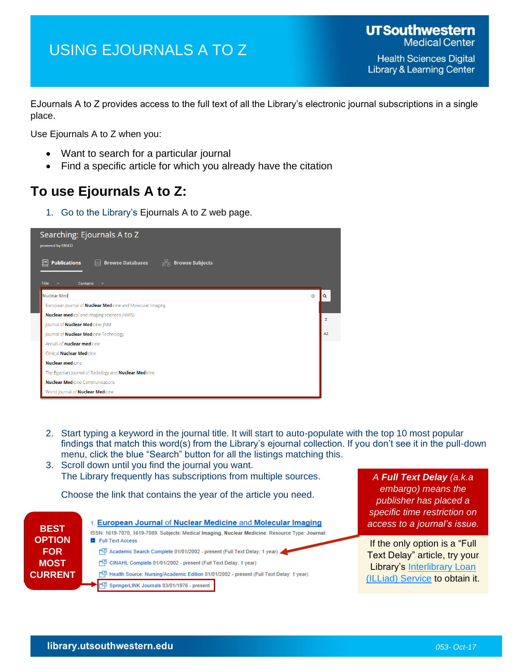## USING EJOURNALS A TO Z

EJournals A to Z provides access to the full text of all the Library's electronic journal subscriptions in a single place.

Use Ejournals A to Z when you:

- Want to search for a particular journal
- Find a specific article for which you already have the citation

## **To use Ejournals A to Z:**

1. Go to the Library's Ejournals A to Z web page.



- 2. Start typing a keyword in the journal title. It will start to auto-populate with the top 10 most popular findings that match this word(s) from the Library's ejournal collection. If you don't see it in the pull-down menu, click the blue "Search" button for all the listings matching this.
- 3. Scroll down until you find the journal you want. The Library frequently has subscriptions from multiple sources.

Choose the link that contains the year of the article you need.



*A Full Text Delay (a.k.a embargo) means the publisher has placed a specific time restriction on access to a journal's issue.*

If the only option is a "Full Text Delay" article, try your Library's Interlibrary Loan [\(ILLiad\) Service](http://illiad2.library.swmed.org/illiad/) to obtain it.